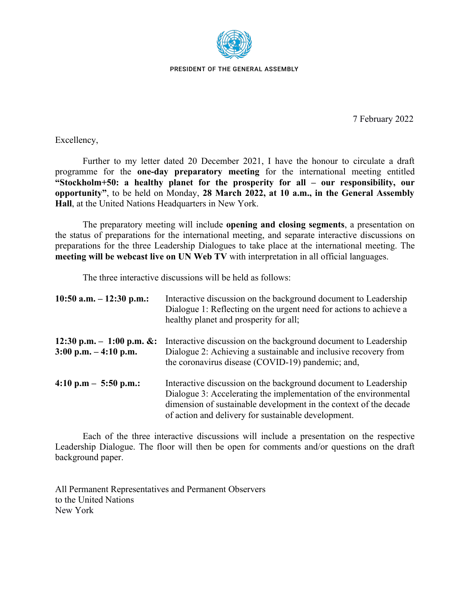

PRESIDENT OF THE GENERAL ASSEMBLY

7 February 2022

Excellency,

Further to my letter dated 20 December 2021, I have the honour to circulate a draft programme for the **one-day preparatory meeting** for the international meeting entitled **"Stockholm+50: a healthy planet for the prosperity for all – our responsibility, our opportunity"**, to be held on Monday, **28 March 2022, at 10 a.m., in the General Assembly Hall**, at the United Nations Headquarters in New York.

The preparatory meeting will include **opening and closing segments**, a presentation on the status of preparations for the international meeting, and separate interactive discussions on preparations for the three Leadership Dialogues to take place at the international meeting. The **meeting will be webcast live on UN Web TV** with interpretation in all official languages.

The three interactive discussions will be held as follows:

| 10:50 a.m. $-12:30$ p.m.:                                             | Interactive discussion on the background document to Leadership<br>Dialogue 1: Reflecting on the urgent need for actions to achieve a<br>healthy planet and prosperity for all;                                                                                 |
|-----------------------------------------------------------------------|-----------------------------------------------------------------------------------------------------------------------------------------------------------------------------------------------------------------------------------------------------------------|
| 12:30 p.m. $-1:00$ p.m. &:<br>$3:00 \text{ p.m.} - 4:10 \text{ p.m.}$ | Interactive discussion on the background document to Leadership<br>Dialogue 2: Achieving a sustainable and inclusive recovery from<br>the coronavirus disease (COVID-19) pandemic; and,                                                                         |
| 4:10 p.m $-$ 5:50 p.m.:                                               | Interactive discussion on the background document to Leadership<br>Dialogue 3: Accelerating the implementation of the environmental<br>dimension of sustainable development in the context of the decade<br>of action and delivery for sustainable development. |

Each of the three interactive discussions will include a presentation on the respective Leadership Dialogue. The floor will then be open for comments and/or questions on the draft background paper.

All Permanent Representatives and Permanent Observers to the United Nations New York